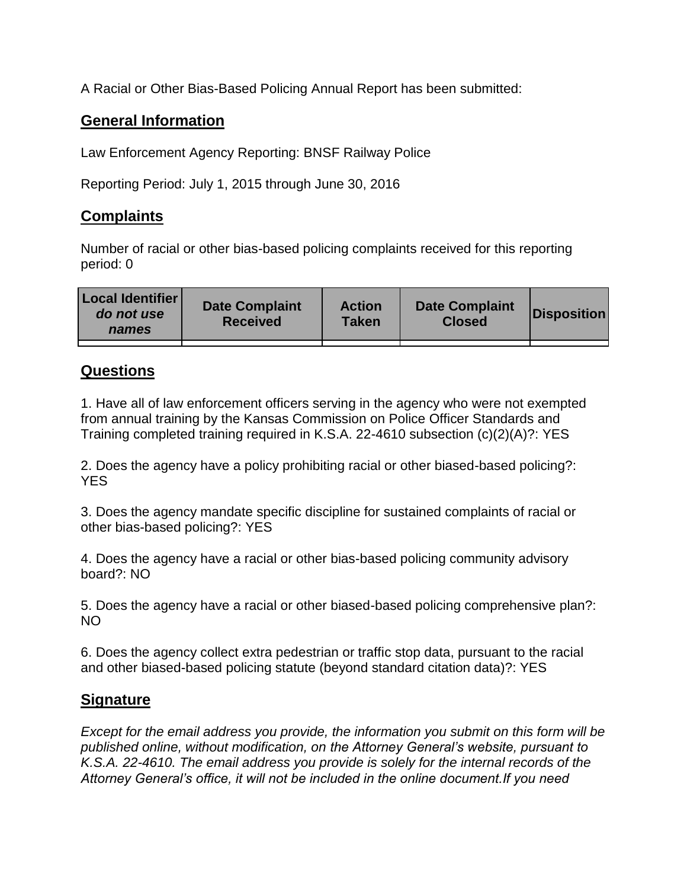A Racial or Other Bias-Based Policing Annual Report has been submitted:

## **General Information**

Law Enforcement Agency Reporting: BNSF Railway Police

Reporting Period: July 1, 2015 through June 30, 2016

## **Complaints**

Number of racial or other bias-based policing complaints received for this reporting period: 0

| <b>Local Identifier</b><br>do not use<br>names | <b>Date Complaint</b><br><b>Received</b> | <b>Action</b><br><b>Taken</b> | <b>Date Complaint</b><br><b>Closed</b> | Disposition |
|------------------------------------------------|------------------------------------------|-------------------------------|----------------------------------------|-------------|
|                                                |                                          |                               |                                        |             |

## **Questions**

1. Have all of law enforcement officers serving in the agency who were not exempted from annual training by the Kansas Commission on Police Officer Standards and Training completed training required in K.S.A. 22-4610 subsection (c)(2)(A)?: YES

2. Does the agency have a policy prohibiting racial or other biased-based policing?: YES

3. Does the agency mandate specific discipline for sustained complaints of racial or other bias-based policing?: YES

4. Does the agency have a racial or other bias-based policing community advisory board?: NO

5. Does the agency have a racial or other biased-based policing comprehensive plan?: NO

6. Does the agency collect extra pedestrian or traffic stop data, pursuant to the racial and other biased-based policing statute (beyond standard citation data)?: YES

## **Signature**

*Except for the email address you provide, the information you submit on this form will be published online, without modification, on the Attorney General's website, pursuant to K.S.A. 22-4610. The email address you provide is solely for the internal records of the Attorney General's office, it will not be included in the online document.If you need*